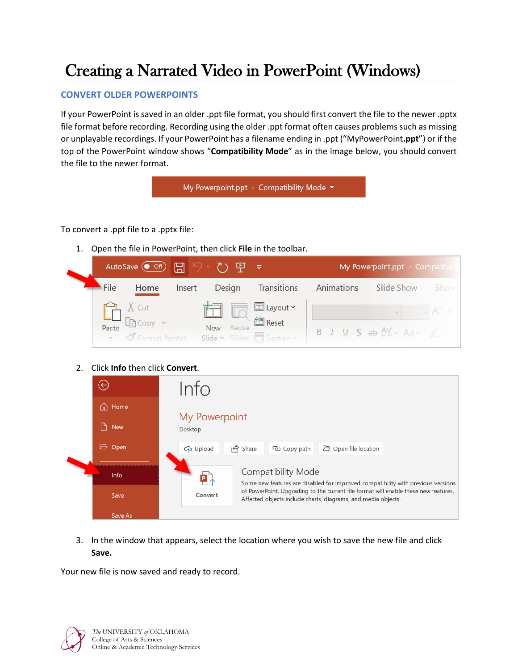# Creating a Narrated Video in PowerPoint (Windows)

## **CONVERT OLDER POWERPOINTS**

If your PowerPoint is saved in an older .ppt file format, you should first convert the file to the newer .pptx file format before recording. Recording using the older .ppt format often causes problems such as missing or unplayable recordings. If your PowerPoint has a filename ending in .ppt ("MyPowerPoint**.ppt**") or if the top of the PowerPoint window shows "**Compatibility Mode**" as in the image below, you should convert the file to the newer format.

My Powerpoint.ppt - Compatibility Mode v

To convert a .ppt file to a .pptx file:

1. Open the file in PowerPoint, then click **File** in the toolbar.

|      |                                                                                                                                                                                                                                                                                                                                                                                                                                                                                                                                                                       | AutoSave ( Off) 日 夕 · ひ 里 |                                                   |             | My Powerpoint.ppt - Compatibili |                                                |      |
|------|-----------------------------------------------------------------------------------------------------------------------------------------------------------------------------------------------------------------------------------------------------------------------------------------------------------------------------------------------------------------------------------------------------------------------------------------------------------------------------------------------------------------------------------------------------------------------|---------------------------|---------------------------------------------------|-------------|---------------------------------|------------------------------------------------|------|
| File | Home                                                                                                                                                                                                                                                                                                                                                                                                                                                                                                                                                                  | Insert                    | Design                                            | Transitions | Animations                      | Slide Show                                     | Show |
|      | $\underbrace{\begin{array}{c} \begin{matrix} \mathbf{C} \\ \mathbf{I} \end{matrix}}_{\text{Paste}} & \begin{matrix} \begin{matrix} \mathbf{A} \\ \mathbf{I} \end{matrix} \end{array} \begin{matrix} \begin{matrix} \mathbf{C} \\ \mathbf{O} \end{matrix} \end{matrix} \end{array} \begin{array}{c} \begin{matrix} \mathbf{C} \\ \mathbf{A} \end{matrix} \end{array} \begin{array}{c} \begin{matrix} \mathbf{C} \\ \mathbf{A} \end{matrix} \end{array} \begin{array}{c} \begin{matrix} \mathbf{C} \\ \mathbf{A} \end{matrix} \end{array} \begin{$<br>v SFormat Painter |                           | to El Layout ~<br>New<br>Slide v Slides Section v | Reuse       |                                 | $B$ $I$ $U$ $S$ ab $AY \sim Aa \sim \emptyset$ |      |

2. Click **Info** then click **Convert**.

|  | $\left(\!\!\leftarrow\!\!\right)$ | Info                                                                                                                                                            |
|--|-----------------------------------|-----------------------------------------------------------------------------------------------------------------------------------------------------------------|
|  | ⋒<br>Home                         | My Powerpoint                                                                                                                                                   |
|  | D.<br><b>New</b>                  | Desktop                                                                                                                                                         |
|  | G<br>Open                         | $\overrightarrow{P}$ Share<br>□ Open file location<br>C <sub>2</sub> Upload<br>© Copy path                                                                      |
|  | Info                              | <b>Compatibility Mode</b><br>P<br>Some new features are disabled for improved compatibility with previous versions                                              |
|  | Save                              | of PowerPoint. Upgrading to the current file format will enable these new features.<br>Convert<br>Affected objects include charts, diagrams, and media objects. |
|  | Save As                           |                                                                                                                                                                 |

3. In the window that appears, select the location where you wish to save the new file and click **Save.**

Your new file is now saved and ready to record.

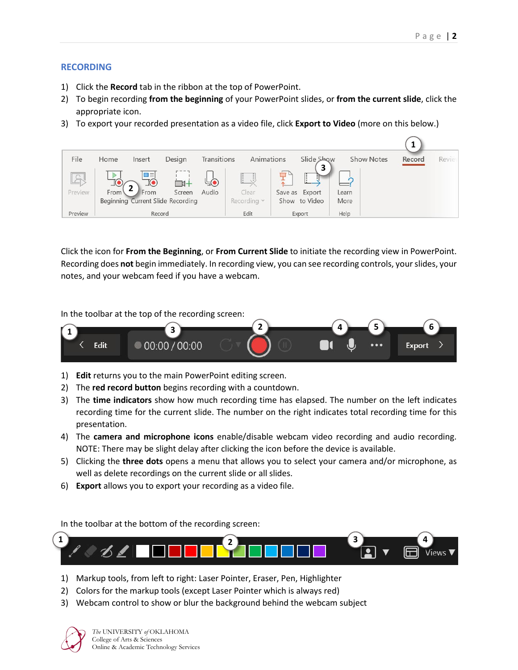## **RECORDING**

- 1) Click the **Record** tab in the ribbon at the top of PowerPoint.
- 2) To begin recording **from the beginning** of your PowerPoint slides, or **from the current slide**, click the appropriate icon.
- 3) To export your recorded presentation as a video file, click **Export to Video** (more on this below.)



Click the icon for **From the Beginning**, or **From Current Slide** to initiate the recording view in PowerPoint. Recording does **not** begin immediately. In recording view, you can see recording controls, your slides, your notes, and your webcam feed if you have a webcam.

In the toolbar at the top of the recording screen:



- 1) **Edit** returns you to the main PowerPoint editing screen.
- 2) The **red record button** begins recording with a countdown.
- 3) The **time indicators** show how much recording time has elapsed. The number on the left indicates recording time for the current slide. The number on the right indicates total recording time for this presentation.
- 4) The **camera and microphone icons** enable/disable webcam video recording and audio recording. NOTE: There may be slight delay after clicking the icon before the device is available.
- 5) Clicking the **three dots** opens a menu that allows you to select your camera and/or microphone, as well as delete recordings on the current slide or all slides.
- 6) **Export** allows you to export your recording as a video file.

In the toolbar at the bottom of the recording screen:



- 1) Markup tools, from left to right: Laser Pointer, Eraser, Pen, Highlighter
- 2) Colors for the markup tools (except Laser Pointer which is always red)
- 3) Webcam control to show or blur the background behind the webcam subject

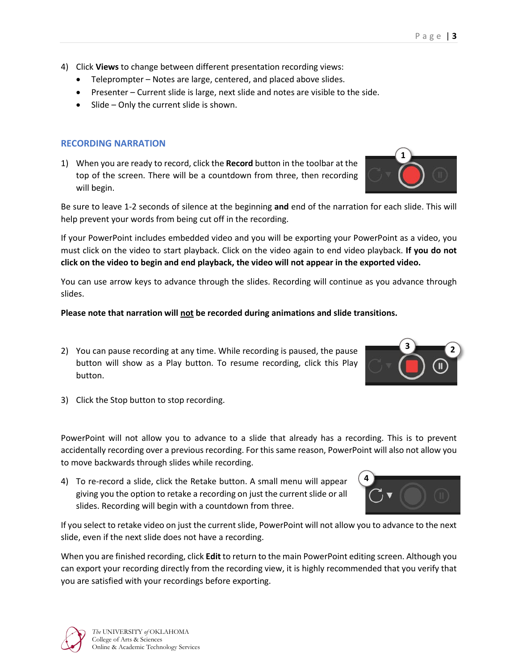- 4) Click **Views** to change between different presentation recording views:
	- Teleprompter Notes are large, centered, and placed above slides.
	- Presenter Current slide is large, next slide and notes are visible to the side.
	- Slide Only the current slide is shown.

# **RECORDING NARRATION**

1) When you are ready to record, click the **Record** button in the toolbar at the top of the screen. There will be a countdown from three, then recording will begin.

Be sure to leave 1-2 seconds of silence at the beginning **and** end of the narration for each slide. This will help prevent your words from being cut off in the recording.

If your PowerPoint includes embedded video and you will be exporting your PowerPoint as a video, you must click on the video to start playback. Click on the video again to end video playback. **If you do not click on the video to begin and end playback, the video will not appear in the exported video.**

You can use arrow keys to advance through the slides. Recording will continue as you advance through slides.

# **Please note that narration will not be recorded during animations and slide transitions.**

- 2) You can pause recording at any time. While recording is paused, the pause button will show as a Play button. To resume recording, click this Play button.
- 3) Click the Stop button to stop recording.

PowerPoint will not allow you to advance to a slide that already has a recording. This is to prevent accidentally recording over a previous recording. For this same reason, PowerPoint will also not allow you to move backwards through slides while recording.

4) To re-record a slide, click the Retake button. A small menu will appear giving you the option to retake a recording on just the current slide or all slides. Recording will begin with a countdown from three.

If you select to retake video on just the current slide, PowerPoint will not allow you to advance to the next slide, even if the next slide does not have a recording.

When you are finished recording, click **Edit** to return to the main PowerPoint editing screen. Although you can export your recording directly from the recording view, it is highly recommended that you verify that you are satisfied with your recordings before exporting.





**2 3**

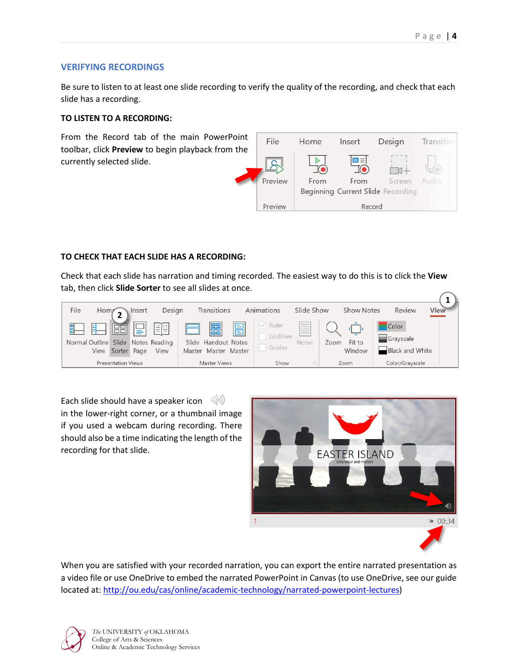### **VERIFYING RECORDINGS**

Be sure to listen to at least one slide recording to verify the quality of the recording, and check that each slide has a recording.

#### **TO LISTEN TO A RECORDING:**

From the Record tab of the main PowerPoint toolbar, click **Preview** to begin playback from the currently selected slide.



#### **TO CHECK THAT EACH SLIDE HAS A RECORDING:**

Check that each slide has narration and timing recorded. The easiest way to do this is to click the **View** tab, then click **Slide Sorter** to see all slides at once.



Each slide should have a speaker icon  $(\circ)$ in the lower-right corner, or a thumbnail image if you used a webcam during recording. There should also be a time indicating the length of the recording for that slide.



When you are satisfied with your recorded narration, you can export the entire narrated presentation as a video file or use OneDrive to embed the narrated PowerPoint in Canvas (to use OneDrive, see our guide located at: [http://ou.edu/cas/online/academic-technology/narrated-powerpoint-lectures\)](http://ou.edu/cas/online/academic-technology/narrated-powerpoint-lectures)